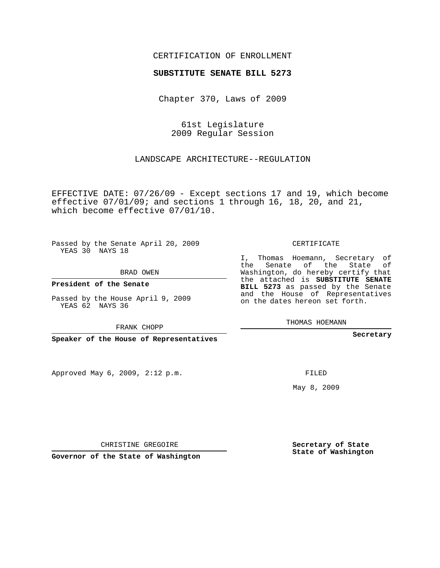## CERTIFICATION OF ENROLLMENT

## **SUBSTITUTE SENATE BILL 5273**

Chapter 370, Laws of 2009

61st Legislature 2009 Regular Session

LANDSCAPE ARCHITECTURE--REGULATION

EFFECTIVE DATE: 07/26/09 - Except sections 17 and 19, which become effective 07/01/09; and sections 1 through 16, 18, 20, and 21, which become effective 07/01/10.

Passed by the Senate April 20, 2009 YEAS 30 NAYS 18

BRAD OWEN

**President of the Senate**

Passed by the House April 9, 2009 YEAS 62 NAYS 36

FRANK CHOPP

**Speaker of the House of Representatives**

Approved May 6, 2009, 2:12 p.m.

CERTIFICATE

I, Thomas Hoemann, Secretary of the Senate of the State of Washington, do hereby certify that the attached is **SUBSTITUTE SENATE BILL 5273** as passed by the Senate and the House of Representatives on the dates hereon set forth.

THOMAS HOEMANN

**Secretary**

FILED

May 8, 2009

**Secretary of State State of Washington**

CHRISTINE GREGOIRE

**Governor of the State of Washington**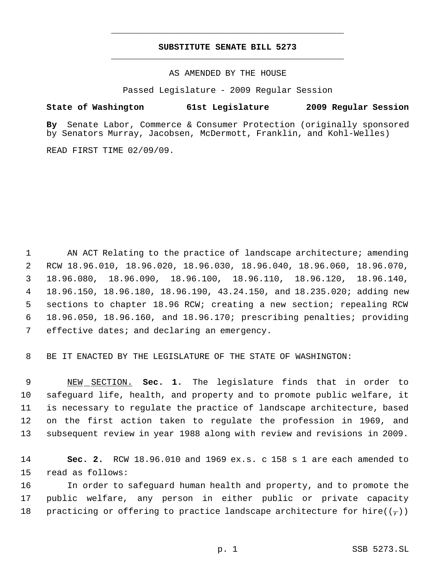## **SUBSTITUTE SENATE BILL 5273** \_\_\_\_\_\_\_\_\_\_\_\_\_\_\_\_\_\_\_\_\_\_\_\_\_\_\_\_\_\_\_\_\_\_\_\_\_\_\_\_\_\_\_\_\_

\_\_\_\_\_\_\_\_\_\_\_\_\_\_\_\_\_\_\_\_\_\_\_\_\_\_\_\_\_\_\_\_\_\_\_\_\_\_\_\_\_\_\_\_\_

AS AMENDED BY THE HOUSE

Passed Legislature - 2009 Regular Session

## **State of Washington 61st Legislature 2009 Regular Session**

**By** Senate Labor, Commerce & Consumer Protection (originally sponsored by Senators Murray, Jacobsen, McDermott, Franklin, and Kohl-Welles)

READ FIRST TIME 02/09/09.

 AN ACT Relating to the practice of landscape architecture; amending RCW 18.96.010, 18.96.020, 18.96.030, 18.96.040, 18.96.060, 18.96.070, 18.96.080, 18.96.090, 18.96.100, 18.96.110, 18.96.120, 18.96.140, 18.96.150, 18.96.180, 18.96.190, 43.24.150, and 18.235.020; adding new sections to chapter 18.96 RCW; creating a new section; repealing RCW 18.96.050, 18.96.160, and 18.96.170; prescribing penalties; providing 7 effective dates; and declaring an emergency.

8 BE IT ENACTED BY THE LEGISLATURE OF THE STATE OF WASHINGTON:

 NEW SECTION. **Sec. 1.** The legislature finds that in order to safeguard life, health, and property and to promote public welfare, it is necessary to regulate the practice of landscape architecture, based on the first action taken to regulate the profession in 1969, and subsequent review in year 1988 along with review and revisions in 2009.

14 **Sec. 2.** RCW 18.96.010 and 1969 ex.s. c 158 s 1 are each amended to 15 read as follows:

16 In order to safeguard human health and property, and to promote the 17 public welfare, any person in either public or private capacity 18 practicing or offering to practice landscape architecture for hire( $(\tau)$ )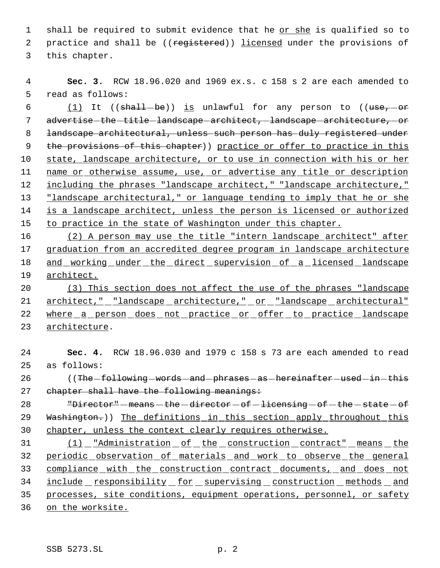1 shall be required to submit evidence that he or she is qualified so to 2 practice and shall be ((registered)) licensed under the provisions of 3 this chapter.

 4 **Sec. 3.** RCW 18.96.020 and 1969 ex.s. c 158 s 2 are each amended to 5 read as follows:

6 (1) It (( $shall-be$ )) is unlawful for any person to (( $use, -or$ 7 advertise the title landscape architect, landscape architecture, or 8 landscape architectural, unless such person has duly registered under 9 the provisions of this chapter)) practice or offer to practice in this 10 state, landscape architecture, or to use in connection with his or her 11 name or otherwise assume, use, or advertise any title or description 12 including the phrases "landscape architect," "landscape architecture," 13 "landscape architectural," or language tending to imply that he or she 14 is a landscape architect, unless the person is licensed or authorized 15 to practice in the state of Washington under this chapter.

 (2) A person may use the title "intern landscape architect" after graduation from an accredited degree program in landscape architecture and working under the direct supervision of a licensed landscape 19 architect.

20 (3) This section does not affect the use of the phrases "landscape 21 architect," landscape architecture," or "landscape architectural" 22 where a person does not practice or offer to practice landscape 23 architecture.

24 **Sec. 4.** RCW 18.96.030 and 1979 c 158 s 73 are each amended to read 25 as follows: 26 ((The following - words - and - phrases - as - hereinafter - used - in - this 27 chapter shall have the following meanings: 28 "Director" - means - the -director - of -licensing - of - the - state - of 29 Washington.)) The definitions in this section apply throughout this 30 chapter, unless the context clearly requires otherwise. 31 (1) "Administration of the construction contract" means the 32 periodic observation of materials and work to observe the general 33 compliance with the construction contract documents, and does not 34 include responsibility for supervising construction methods and 35 processes, site conditions, equipment operations, personnel, or safety 36 on the worksite.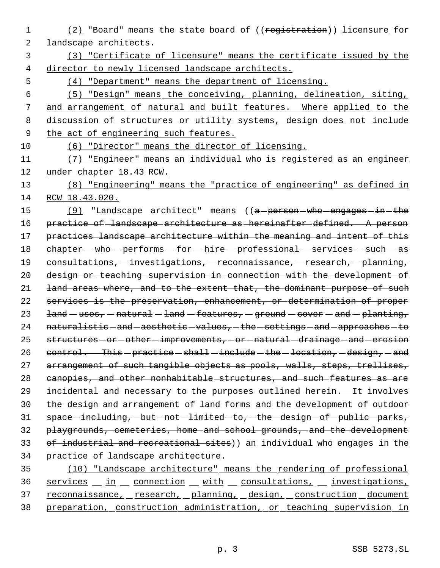1 (2) "Board" means the state board of ((registration)) licensure for landscape architects.

 (3) "Certificate of licensure" means the certificate issued by the director to newly licensed landscape architects.

(4) "Department" means the department of licensing.

 (5) "Design" means the conceiving, planning, delineation, siting, and arrangement of natural and built features. Where applied to the 8 discussion of structures or utility systems, design does not include 9 the act of engineering such features.

(6) "Director" means the director of licensing.

 (7) "Engineer" means an individual who is registered as an engineer under chapter 18.43 RCW.

 (8) "Engineering" means the "practice of engineering" as defined in RCW 18.43.020.

15 (9) "Landscape architect" means ((a-person-who-engages-in-the practice of landscape architecture as hereinafter defined. A person 17 practices landscape architecture within the meaning and intent of this  $che$ rehapter  $-$  who  $-$  performs  $-$  for  $-$  hire  $-$  professional  $-$  services  $-$  such  $-$  as 19 consultations, - investigations, - reconnaissance, - research, - planning, design or teaching supervision in connection with the development of 21 land areas where, and to the extent that, the dominant purpose of such services is the preservation, enhancement, or determination of proper  $\text{land} - \text{uses}, -\text{natural} - \text{land} - \text{features}, - \text{ground} - \text{cover} - \text{and} - \text{planting},$ 24 naturalistic-and-aesthetic-values, -the-settings-and-approaches-to 25 structures - or - other - improvements, - or - natural - drainage - and - erosion  $control.$  This - practice - shall - include - the - location, - design, - and 27 arrangement of such tangible objects as pools, walls, steps, trellises, canopies, and other nonhabitable structures, and such features as are incidental and necessary to the purposes outlined herein. It involves the design and arrangement of land forms and the development of outdoor space -including, -but -not -limited -to, -the -design -of -public -parks, playgrounds, cemeteries, home and school grounds, and the development of industrial and recreational sites)) an individual who engages in the practice of landscape architecture.

 (10) "Landscape architecture" means the rendering of professional 36 services in connection with consultations, investigations, 37 reconnaissance, research, planning, design, construction document preparation, construction administration, or teaching supervision in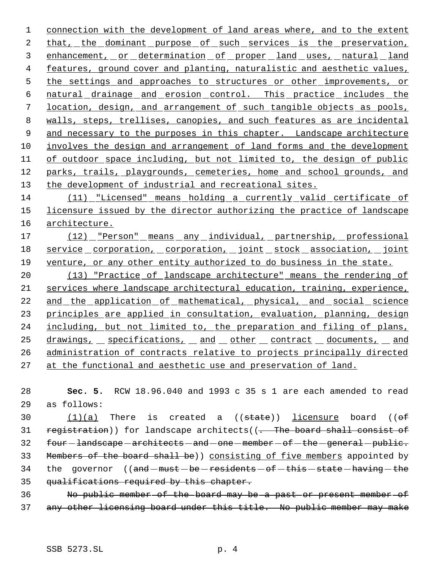1 connection with the development of land areas where, and to the extent 2 that, the dominant purpose of such services is the preservation, 3 enhancement, or determination of proper land uses, natural land 4 features, ground cover and planting, naturalistic and aesthetic values, 5 the settings and approaches to structures or other improvements, or 6 natural drainage and erosion control. This practice includes the 7 location, design, and arrangement of such tangible objects as pools, 8 walls, steps, trellises, canopies, and such features as are incidental 9 and necessary to the purposes in this chapter. Landscape architecture 10 involves the design and arrangement of land forms and the development 11 of outdoor space including, but not limited to, the design of public 12 parks, trails, playgrounds, cemeteries, home and school grounds, and 13 the development of industrial and recreational sites.

14 (11) "Licensed" means holding a currently valid certificate of 15 licensure issued by the director authorizing the practice of landscape 16 architecture.

17 (12) "Person" means any individual, partnership, professional 18 service corporation, corporation, joint stock association, joint 19 venture, or any other entity authorized to do business in the state.

20 (13) "Practice of landscape architecture" means the rendering of 21 services where landscape architectural education, training, experience, 22 and the application of mathematical, physical, and social science 23 principles are applied in consultation, evaluation, planning, design 24 including, but not limited to, the preparation and filing of plans, 25 drawings, specifications, and other contract documents, and 26 administration of contracts relative to projects principally directed 27 at the functional and aesthetic use and preservation of land.

28 **Sec. 5.** RCW 18.96.040 and 1993 c 35 s 1 are each amended to read 29 as follows:

30  $(1)(a)$  There is created a  $($ (state)) licensure board  $($ ( $ef$ 31 registration)) for landscape architects((. The board shall consist of  $32$  four  $-l$  and scape  $-$  architects  $-$  and  $-$  one  $-$  member  $-$  of  $-$  the  $-$  general  $-$  public. 33 Members of the board shall be)) consisting of five members appointed by 34 the governor  $((and - must - be - residents - of - this - state - having - the$ 35 qualifications required by this chapter.

36 No public member of the board may be a past or present member of 37 any other licensing board under this title. No public member may make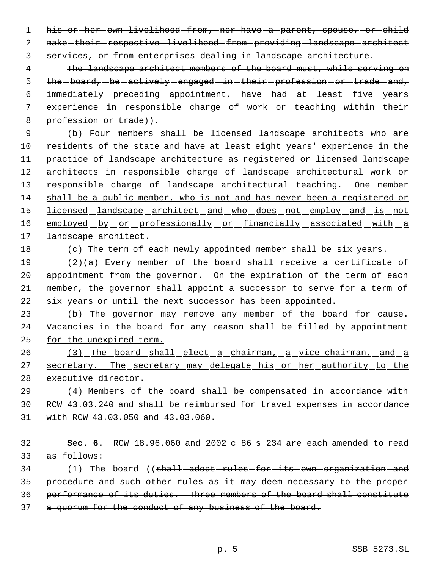1 his or her own livelihood from, nor have a parent, spouse, or child 2 make-their-respective-livelihood-from-providing-landscape-architect 3 services, or from enterprises dealing in landscape architecture.

 4 The landscape architect members of the board must, while serving on 5 the -board, -be -actively -engaged -in -their -profession -or -trade -and, 6  $immediately-preceding-appendment,-have—had-at—least—five—years$ 7 experience in responsible charge of work or teaching within their 8 profession or trade)).

 (b) Four members shall be licensed landscape architects who are residents of the state and have at least eight years' experience in the practice of landscape architecture as registered or licensed landscape architects in responsible charge of landscape architectural work or 13 responsible charge of landscape architectural teaching. One member shall be a public member, who is not and has never been a registered or 15 licensed landscape architect and who does not employ and is not 16 employed by or professionally or financially associated with a landscape architect.

18 (c) The term of each newly appointed member shall be six years.

 (2)(a) Every member of the board shall receive a certificate of 20 appointment from the governor. On the expiration of the term of each member, the governor shall appoint a successor to serve for a term of six years or until the next successor has been appointed.

23 (b) The governor may remove any member of the board for cause. 24 Vacancies in the board for any reason shall be filled by appointment 25 for the unexpired term.

26 (3) The board shall elect a chairman, a vice-chairman, and a 27 secretary. The secretary may delegate his or her authority to the 28 executive director.

29 (4) Members of the board shall be compensated in accordance with 30 RCW 43.03.240 and shall be reimbursed for travel expenses in accordance 31 with RCW 43.03.050 and 43.03.060.

32 **Sec. 6.** RCW 18.96.060 and 2002 c 86 s 234 are each amended to read 33 as follows:

34 (1) The board ((shall-adopt-rules-for-its-own-organization-and 35 procedure and such other rules as it may deem necessary to the proper 36 performance of its duties. Three members of the board shall constitute 37 a quorum for the conduct of any business of the board.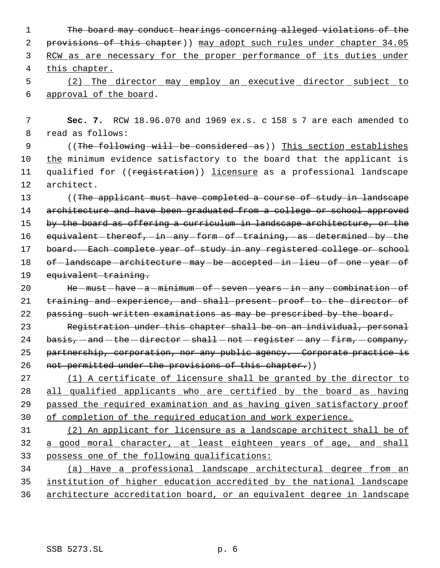The board may conduct hearings concerning alleged violations of the 2 provisions of this chapter)) may adopt such rules under chapter 34.05 RCW as are necessary for the proper performance of its duties under this chapter. (2) The director may employ an executive director subject to

- 6 approval of the board.
- 7 **Sec. 7.** RCW 18.96.070 and 1969 ex.s. c 158 s 7 are each amended to 8 read as follows:

9 ((The following will be considered as)) This section establishes 10 the minimum evidence satisfactory to the board that the applicant is 11 qualified for ((registration)) licensure as a professional landscape 12 architect.

13 ((The applicant must have completed a course of study in landscape 14 architecture and have been graduated from a college or school approved 15 by the board as offering a curriculum in landscape architecture, or the 16 equivalent-thereof,-in-any-form-of-training,-as-determined-by-the 17 board. Each complete year of study in any registered college or school 18 of -landscape -architecture -may -be -accepted -in -lieu -of -one -year -of 19 equivalent training.

20 He  $-must - have - a - minimum - of - seven - years - in - any - combination - of$ 21 training and experience, and shall present proof to the director of 22 passing such written examinations as may be prescribed by the board.

23 Registration under this chapter shall be on an individual, personal 24 basis,  $-$  and  $-$  the  $-$  director  $-$  shall  $-$  not  $-$  register  $-$  any  $-$  firm,  $-$  company, 25 partnership, corporation, nor any public agency. Corporate practice is 26 not permitted under the provisions of this chapter.))

 (1) A certificate of licensure shall be granted by the director to 28 all qualified applicants who are certified by the board as having passed the required examination and as having given satisfactory proof of completion of the required education and work experience.

31 (2) An applicant for licensure as a landscape architect shall be of 32 a good moral character, at least eighteen years of age, and shall 33 possess one of the following qualifications:

34 (a) Have a professional landscape architectural degree from an 35 institution of higher education accredited by the national landscape 36 architecture accreditation board, or an equivalent degree in landscape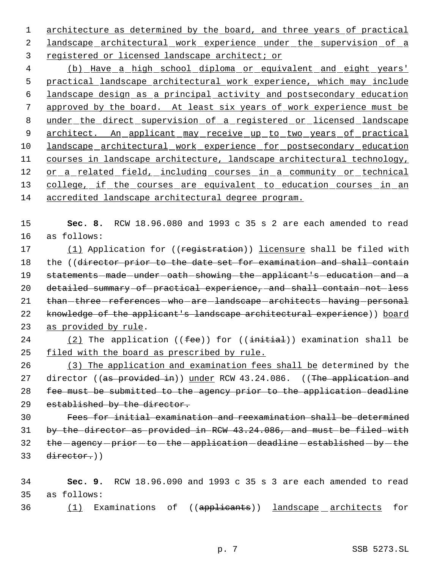1 architecture as determined by the board, and three years of practical 2 landscape architectural work experience under the supervision of a 3 registered or licensed landscape architect; or

 4 (b) Have a high school diploma or equivalent and eight years' 5 practical landscape architectural work experience, which may include 6 landscape design as a principal activity and postsecondary education 7 approved by the board. At least six years of work experience must be 8 under the direct supervision of a registered or licensed landscape 9 architect. An applicant may receive up to two years of practical 10 landscape architectural work experience for postsecondary education 11 courses in landscape architecture, landscape architectural technology, 12 or a related field, including courses in a community or technical 13 college, if the courses are equivalent to education courses in an 14 accredited landscape architectural degree program.

15 **Sec. 8.** RCW 18.96.080 and 1993 c 35 s 2 are each amended to read 16 as follows:

17 (1) Application for ((registration)) licensure shall be filed with 18 the ((director prior to the date set for examination and shall contain 19 statements-made-under-oath-showing-the-applicant's-education-and-a 20 detailed summary of practical experience, and shall contain not less 21 than-three-references-who-are-landscape-architects-having-personal 22 knowledge of the applicant's landscape architectural experience)) board 23 as provided by rule.

24 (2) The application  $( (fee) )$  for  $( (initial) )$  examination shall be 25 filed with the board as prescribed by rule.

26 (3) The application and examination fees shall be determined by the 27 director ((as provided in)) under RCW 43.24.086. ((The application and 28 fee must be submitted to the agency prior to the application deadline 29 established by the director.

 Fees for initial examination and reexamination shall be determined by the director as provided in RCW 43.24.086, and must be filed with 32 the -agency -prior -to -the -application -deadline -established -by -the director.))

34 **Sec. 9.** RCW 18.96.090 and 1993 c 35 s 3 are each amended to read 35 as follows:

36 (1) Examinations of ((applicants)) landscape architects for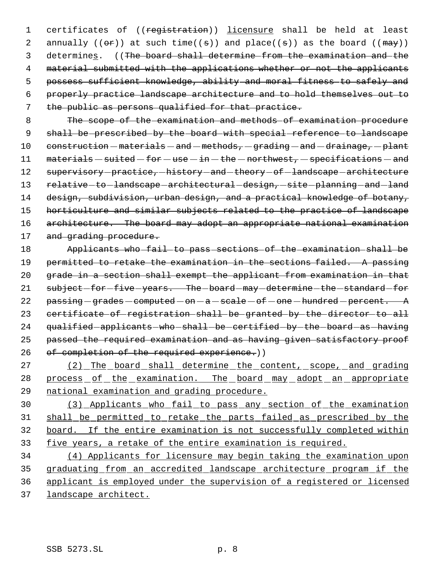1 certificates of ((registration)) licensure shall be held at least 2 annually  $((\theta \cdot \hat{r}))$  at such time( $(\theta)$ ) and place( $(\theta)$ ) as the board ( $(\theta \cdot \hat{r})$ ) 3 determines. ((The board shall determine from the examination and the 4 material submitted with the applications whether or not the applicants 5 possess sufficient knowledge, ability and moral fitness to safely and 6 properly practice landscape architecture and to hold themselves out to 7 the public as persons qualified for that practice.

 8 The scope of the examination and methods of examination procedure 9 shall be prescribed by the board with special reference to landscape 10 construction - materials - and - methods, - grading - and - drainage, - plant 11  $meterials - suited - for - use - in - the - northwest, - specifications - and$ 12 supervisory-practice,-history-and-theory-of-landscape-architecture 13 relative-to-landscape-architectural-design,-site-planning-and-land 14 design, subdivision, urban design, and a practical knowledge of botany, 15 horticulture and similar subjects related to the practice of landscape 16 architecture. The board may adopt an appropriate national examination 17 and grading procedure.

18 Applicants who fail to pass sections of the examination shall be 19 permitted to retake the examination in the sections failed. A passing 20 grade in a section shall exempt the applicant from examination in that 21 subject-for-five-years. The-board-may-determine-the-standard-for 22  $passing - grades - computed - on - a - scale - of - one - hundred - percent. A$ 23 certificate of registration shall be granted by the director to all 24 qualified applicants who shall be certified by the board as having 25 passed the required examination and as having given satisfactory proof 26 of completion of the required experience.))

27 (2) The board shall determine the content, scope, and grading 28 process of the examination. The board may adopt an appropriate 29 national examination and grading procedure.

 (3) Applicants who fail to pass any section of the examination shall be permitted to retake the parts failed as prescribed by the board. If the entire examination is not successfully completed within five years, a retake of the entire examination is required.

 (4) Applicants for licensure may begin taking the examination upon 35 graduating from an accredited landscape architecture program if the applicant is employed under the supervision of a registered or licensed landscape architect.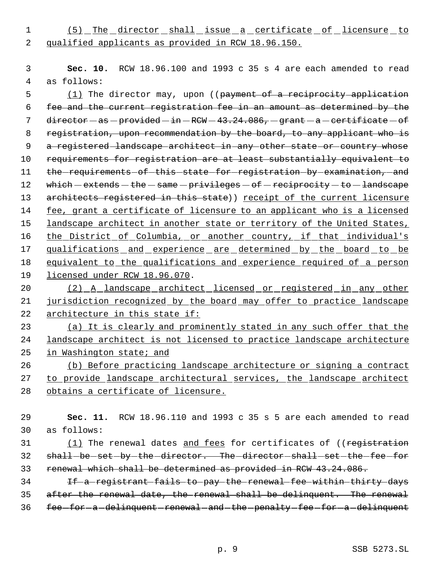1 (5) The director shall issue a certificate of licensure to 2 qualified applicants as provided in RCW 18.96.150.

 3 **Sec. 10.** RCW 18.96.100 and 1993 c 35 s 4 are each amended to read 4 as follows:

5 (1) The director may, upon ((payment of a reciprocity application 6 fee and the current registration fee in an amount as determined by the 7 director  $-as-previded-in-RCW-43.24.086, -grant - a-certificate-of$ 8 registration, upon recommendation by the board, to any applicant who is 9 a registered landscape architect in any other state or country whose 10 requirements for registration are at least substantially equivalent to 11 the requirements of this state for registration by examination, and 12 which  $-$  extends  $-$  the  $-$  same  $-$  privileges  $-$  of  $-$  reciprocity  $-$  to  $-$  landscape 13 architects registered in this state)) receipt of the current licensure 14 fee, grant a certificate of licensure to an applicant who is a licensed 15 landscape architect in another state or territory of the United States, 16 the District of Columbia, or another country, if that individual's 17 qualifications and experience are determined by the board to be 18 equivalent to the qualifications and experience required of a person 19 licensed under RCW 18.96.070.

20 (2) A landscape architect licensed or registered in any other 21 jurisdiction recognized by the board may offer to practice landscape 22 architecture in this state if:

23 (a) It is clearly and prominently stated in any such offer that the 24 landscape architect is not licensed to practice landscape architecture 25 in Washington state; and

26 (b) Before practicing landscape architecture or signing a contract 27 to provide landscape architectural services, the landscape architect 28 obtains a certificate of licensure.

29 **Sec. 11.** RCW 18.96.110 and 1993 c 35 s 5 are each amended to read 30 as follows:

31 (1) The renewal dates and fees for certificates of ((registration 32 shall-be-set-by-the-director. The-director-shall-set-the-fee-for 33 renewal which shall be determined as provided in RCW 43.24.086.

34 If a registrant fails to pay the renewal fee within thirty days 35 after the renewal date, the renewal shall be delinquent. The renewal 36 fee for a delinquent renewal and the penalty fee for a delinquent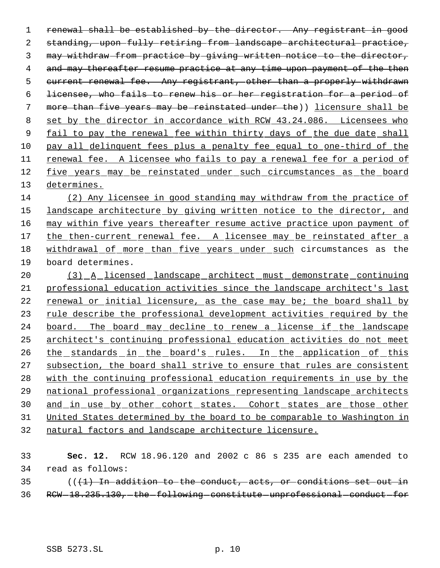renewal shall be established by the director. Any registrant in good standing, upon fully retiring from landscape architectural practice, may withdraw from practice by giving written notice to the director, 4 and may thereafter resume practice at any time upon payment of the then current renewal fee. Any registrant, other than a properly withdrawn licensee, who fails to renew his or her registration for a period of more than five years may be reinstated under the)) licensure shall be 8 set by the director in accordance with RCW 43.24.086. Licensees who 9 fail to pay the renewal fee within thirty days of the due date shall pay all delinquent fees plus a penalty fee equal to one-third of the renewal fee. A licensee who fails to pay a renewal fee for a period of five years may be reinstated under such circumstances as the board determines.

 (2) Any licensee in good standing may withdraw from the practice of 15 landscape architecture by giving written notice to the director, and 16 may within five years thereafter resume active practice upon payment of 17 the then-current renewal fee. A licensee may be reinstated after a withdrawal of more than five years under such circumstances as the board determines.

 (3) A licensed landscape architect must demonstrate continuing professional education activities since the landscape architect's last 22 renewal or initial licensure, as the case may be; the board shall by 23 rule describe the professional development activities required by the 24 board. The board may decline to renew a license if the landscape architect's continuing professional education activities do not meet 26 the standards in the board's rules. In the application of this subsection, the board shall strive to ensure that rules are consistent with the continuing professional education requirements in use by the national professional organizations representing landscape architects 30 and in use by other cohort states. Cohort states are those other United States determined by the board to be comparable to Washington in natural factors and landscape architecture licensure.

| 33 |                                                                        |  |  | <b>Sec. 12.</b> RCW 18.96.120 and 2002 c 86 s 235 are each amended to |  |  |  |  |  |  |  |  |  |  |
|----|------------------------------------------------------------------------|--|--|-----------------------------------------------------------------------|--|--|--|--|--|--|--|--|--|--|
|    | 34 read as follows:                                                    |  |  |                                                                       |  |  |  |  |  |  |  |  |  |  |
|    | $(1)$ $(1)$ In addition to the conduct, acts, or conditions set out in |  |  |                                                                       |  |  |  |  |  |  |  |  |  |  |

36 RCW-18.235.130, the following constitute unprofessional conduct for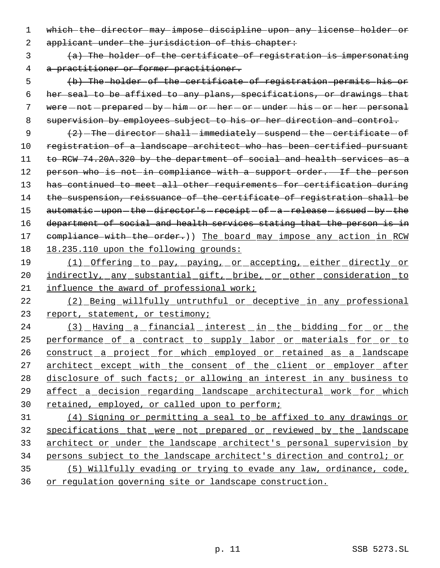1 which the director may impose discipline upon any license holder or

2 applicant under the jurisdiction of this chapter:

 3 (a) The holder of the certificate of registration is impersonating 4 a practitioner or former practitioner.

 5 (b) The holder of the certificate of registration permits his or 6 her seal to be affixed to any plans, specifications, or drawings that 7 were - not - prepared - by - him - or - her - or - under - his - or - her - personal 8 supervision by employees subject to his or her direction and control.

9  $(2)$  -The director shall immediately suspend the certificate of 10 registration of a landscape architect who has been certified pursuant 11 to RCW 74.20A.320 by the department of social and health services as a 12 person who is not in compliance with a support order. If the person 13 has continued to meet all other requirements for certification during 14 the suspension, reissuance of the certificate of registration shall be 15 automatic-upon-the-director's-receipt-of-a-release-issued-by-the 16 department of social and health services stating that the person is in 17 compliance with the order.)) The board may impose any action in RCW 18 18.235.110 upon the following grounds:

19 (1) Offering to pay, paying, or accepting, either directly or 20 indirectly, any substantial gift, bribe, or other consideration to 21 influence the award of professional work;

22 (2) Being willfully untruthful or deceptive in any professional 23 report, statement, or testimony;

24 (3) Having a financial interest in the bidding for or the 25 performance of a contract to supply labor or materials for or to 26 construct a project for which employed or retained as a landscape 27 architect except with the consent of the client or employer after 28 disclosure of such facts; or allowing an interest in any business to 29 affect a decision regarding landscape architectural work for which 30 retained, employed, or called upon to perform;

 (4) Signing or permitting a seal to be affixed to any drawings or specifications that were not prepared or reviewed by the landscape architect or under the landscape architect's personal supervision by persons subject to the landscape architect's direction and control; or (5) Willfully evading or trying to evade any law, ordinance, code,

36 or regulation governing site or landscape construction.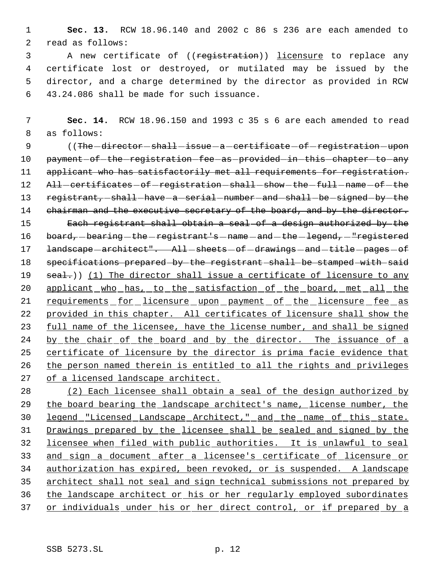1 **Sec. 13.** RCW 18.96.140 and 2002 c 86 s 236 are each amended to 2 read as follows:

3 A new certificate of ((registration)) licensure to replace any certificate lost or destroyed, or mutilated may be issued by the director, and a charge determined by the director as provided in RCW 43.24.086 shall be made for such issuance.

 7 **Sec. 14.** RCW 18.96.150 and 1993 c 35 s 6 are each amended to read 8 as follows:

9 (The -director -shall -issue -a -certificate -of -registration -upon 10 payment of the registration fee as provided in this chapter to any 11 applicant who has satisfactorily met all requirements for registration. 12 All-certificates-of-registration-shall-show-the-full-name-of-the 13 registrant, shall have a serial number and shall be signed by the 14 chairman and the executive secretary of the board, and by the director. 15 Each registrant shall obtain a seal of a design authorized by the 16 board, -bearing -the -registrant's -name -and -the -legend, - "registered 17 landscape - architect". All-sheets - of - drawings - and - title - pages - of 18 specifications prepared by the registrant shall be stamped with said 19 seal.)) (1) The director shall issue a certificate of licensure to any 20 applicant who has, to the satisfaction of the board, met all the 21 requirements for licensure upon payment of the licensure fee as 22 provided in this chapter. All certificates of licensure shall show the 23 full name of the licensee, have the license number, and shall be signed 24 by the chair of the board and by the director. The issuance of a 25 certificate of licensure by the director is prima facie evidence that 26 the person named therein is entitled to all the rights and privileges 27 of a licensed landscape architect.

 (2) Each licensee shall obtain a seal of the design authorized by 29 the board bearing the landscape architect's name, license number, the legend "Licensed Landscape Architect," and the name of this state. Drawings prepared by the licensee shall be sealed and signed by the licensee when filed with public authorities. It is unlawful to seal and sign a document after a licensee's certificate of licensure or authorization has expired, been revoked, or is suspended. A landscape architect shall not seal and sign technical submissions not prepared by the landscape architect or his or her regularly employed subordinates 37 or individuals under his or her direct control, or if prepared by a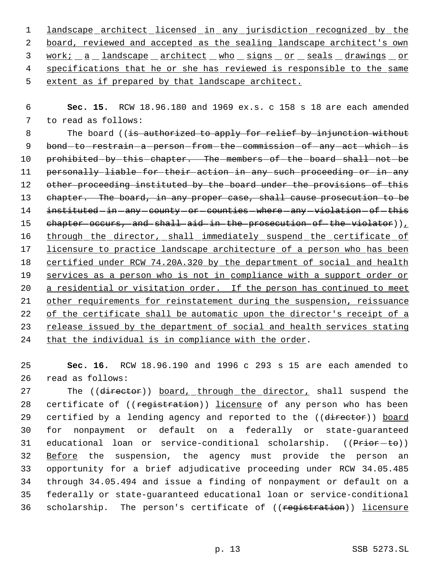1 landscape architect licensed in any jurisdiction recognized by the 2 board, reviewed and accepted as the sealing landscape architect's own 3 work; a landscape architect who signs or seals drawings or 4 specifications that he or she has reviewed is responsible to the same 5 extent as if prepared by that landscape architect.

 6 **Sec. 15.** RCW 18.96.180 and 1969 ex.s. c 158 s 18 are each amended 7 to read as follows:

8 The board ((is authorized to apply for relief by injunction without 9 bond-to-restrain-a-person-from-the-commission-of-any-act-which-is 10 prohibited-by-this-chapter. The-members-of-the-board-shall-not-be 11 personally liable for their action in any such proceeding or in any 12 other proceeding instituted by the board under the provisions of this 13 chapter. The board, in any proper case, shall cause prosecution to be 14 instituted-in-any-county-or-counties-where-any-violation-of-this 15 chapter occurs, and shall aid in the prosecution of the violator)  $L$ 16 through the director, shall immediately suspend the certificate of 17 licensure to practice landscape architecture of a person who has been 18 certified under RCW 74.20A.320 by the department of social and health 19 services as a person who is not in compliance with a support order or 20 a residential or visitation order. If the person has continued to meet 21 other requirements for reinstatement during the suspension, reissuance 22 of the certificate shall be automatic upon the director's receipt of a 23 release issued by the department of social and health services stating 24 that the individual is in compliance with the order.

25 **Sec. 16.** RCW 18.96.190 and 1996 c 293 s 15 are each amended to 26 read as follows:

27 The ((director)) board, through the director, shall suspend the 28 certificate of ((registration)) licensure of any person who has been 29 certified by a lending agency and reported to the ((director)) board 30 for nonpayment or default on a federally or state-guaranteed 31 educational loan or service-conditional scholarship. ((Prior-to)) 32 Before the suspension, the agency must provide the person an 33 opportunity for a brief adjudicative proceeding under RCW 34.05.485 34 through 34.05.494 and issue a finding of nonpayment or default on a 35 federally or state-guaranteed educational loan or service-conditional 36 scholarship. The person's certificate of ((registration)) licensure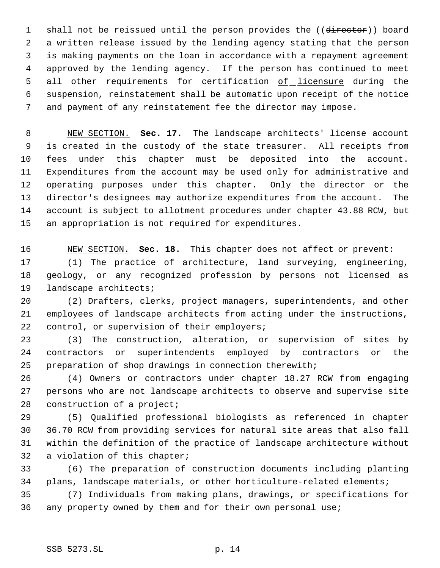1 shall not be reissued until the person provides the ((director)) board a written release issued by the lending agency stating that the person is making payments on the loan in accordance with a repayment agreement approved by the lending agency. If the person has continued to meet 5 all other requirements for certification of licensure during the suspension, reinstatement shall be automatic upon receipt of the notice and payment of any reinstatement fee the director may impose.

 NEW SECTION. **Sec. 17.** The landscape architects' license account is created in the custody of the state treasurer. All receipts from fees under this chapter must be deposited into the account. Expenditures from the account may be used only for administrative and operating purposes under this chapter. Only the director or the director's designees may authorize expenditures from the account. The account is subject to allotment procedures under chapter 43.88 RCW, but an appropriation is not required for expenditures.

 NEW SECTION. **Sec. 18.** This chapter does not affect or prevent: (1) The practice of architecture, land surveying, engineering, geology, or any recognized profession by persons not licensed as landscape architects;

 (2) Drafters, clerks, project managers, superintendents, and other employees of landscape architects from acting under the instructions, 22 control, or supervision of their employers;

 (3) The construction, alteration, or supervision of sites by contractors or superintendents employed by contractors or the preparation of shop drawings in connection therewith;

 (4) Owners or contractors under chapter 18.27 RCW from engaging persons who are not landscape architects to observe and supervise site 28 construction of a project;

 (5) Qualified professional biologists as referenced in chapter 36.70 RCW from providing services for natural site areas that also fall within the definition of the practice of landscape architecture without a violation of this chapter;

 (6) The preparation of construction documents including planting plans, landscape materials, or other horticulture-related elements;

 (7) Individuals from making plans, drawings, or specifications for any property owned by them and for their own personal use;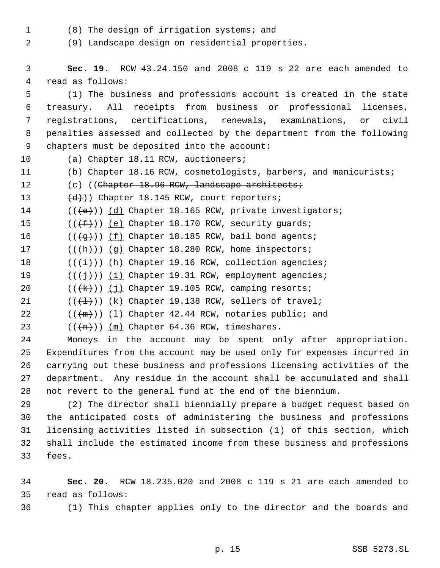(8) The design of irrigation systems; and

(9) Landscape design on residential properties.

 **Sec. 19.** RCW 43.24.150 and 2008 c 119 s 22 are each amended to read as follows: (1) The business and professions account is created in the state treasury. All receipts from business or professional licenses, registrations, certifications, renewals, examinations, or civil penalties assessed and collected by the department from the following chapters must be deposited into the account: (a) Chapter 18.11 RCW, auctioneers; (b) Chapter 18.16 RCW, cosmetologists, barbers, and manicurists; 12 (c) ((Chapter 18.96 RCW, landscape architects;  $(d)$ )) Chapter 18.145 RCW, court reporters; 14 (((e)) (d) Chapter 18.165 RCW, private investigators;  $((\{\text{f}\}))(\text{e})$  Chapter 18.170 RCW, security guards;  $((\overline{g}))$  (f) Chapter 18.185 RCW, bail bond agents;  $((+h))$   $(g)$  Chapter 18.280 RCW, home inspectors;  $((\overleftrightarrow{\textbf{i}}))$  (h) Chapter 19.16 RCW, collection agencies;  $((\{\dagger\})\)$  (i) Chapter 19.31 RCW, employment agencies;  $((\{k\})\)$  (j) Chapter 19.105 RCW, camping resorts;  $((\{\pm\})\)$   $(k)$  Chapter 19.138 RCW, sellers of travel;  $((\langle m \rangle) )$   $(1)$  Chapter 42.44 RCW, notaries public; and  $((+n))$   $(m)$  Chapter 64.36 RCW, timeshares. Moneys in the account may be spent only after appropriation. Expenditures from the account may be used only for expenses incurred in carrying out these business and professions licensing activities of the department. Any residue in the account shall be accumulated and shall not revert to the general fund at the end of the biennium. (2) The director shall biennially prepare a budget request based on

 the anticipated costs of administering the business and professions licensing activities listed in subsection (1) of this section, which shall include the estimated income from these business and professions fees.

 **Sec. 20.** RCW 18.235.020 and 2008 c 119 s 21 are each amended to read as follows:

(1) This chapter applies only to the director and the boards and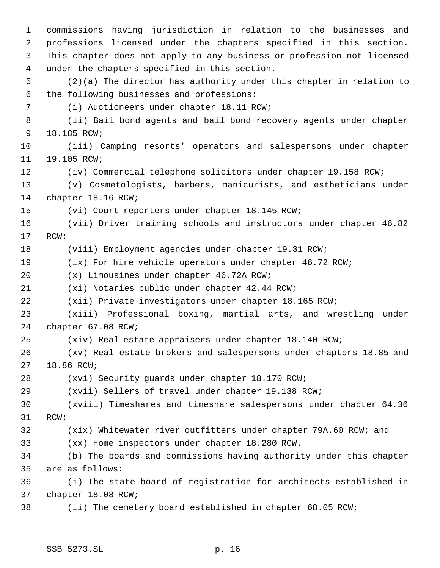commissions having jurisdiction in relation to the businesses and professions licensed under the chapters specified in this section. This chapter does not apply to any business or profession not licensed under the chapters specified in this section. (2)(a) The director has authority under this chapter in relation to the following businesses and professions: (i) Auctioneers under chapter 18.11 RCW; (ii) Bail bond agents and bail bond recovery agents under chapter 18.185 RCW; (iii) Camping resorts' operators and salespersons under chapter 19.105 RCW; (iv) Commercial telephone solicitors under chapter 19.158 RCW; (v) Cosmetologists, barbers, manicurists, and estheticians under chapter 18.16 RCW; (vi) Court reporters under chapter 18.145 RCW; (vii) Driver training schools and instructors under chapter 46.82 RCW; (viii) Employment agencies under chapter 19.31 RCW; (ix) For hire vehicle operators under chapter 46.72 RCW; (x) Limousines under chapter 46.72A RCW; (xi) Notaries public under chapter 42.44 RCW; (xii) Private investigators under chapter 18.165 RCW; (xiii) Professional boxing, martial arts, and wrestling under chapter 67.08 RCW; (xiv) Real estate appraisers under chapter 18.140 RCW; (xv) Real estate brokers and salespersons under chapters 18.85 and 18.86 RCW; (xvi) Security guards under chapter 18.170 RCW; (xvii) Sellers of travel under chapter 19.138 RCW; (xviii) Timeshares and timeshare salespersons under chapter 64.36 RCW; (xix) Whitewater river outfitters under chapter 79A.60 RCW; and (xx) Home inspectors under chapter 18.280 RCW. (b) The boards and commissions having authority under this chapter are as follows: (i) The state board of registration for architects established in chapter 18.08 RCW; (ii) The cemetery board established in chapter 68.05 RCW;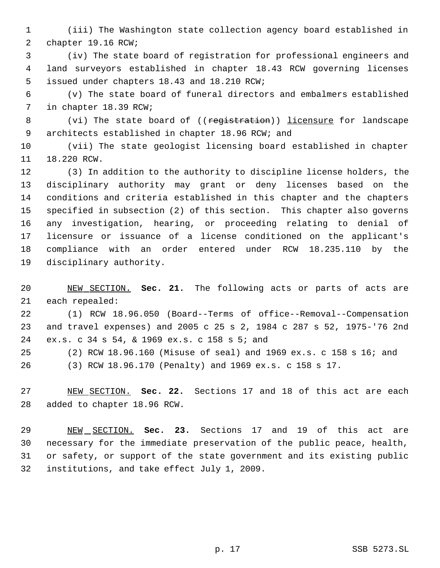(iii) The Washington state collection agency board established in chapter 19.16 RCW;

 (iv) The state board of registration for professional engineers and land surveyors established in chapter 18.43 RCW governing licenses issued under chapters 18.43 and 18.210 RCW;

 (v) The state board of funeral directors and embalmers established in chapter 18.39 RCW;

8 (vi) The state board of ((registration)) licensure for landscape architects established in chapter 18.96 RCW; and

 (vii) The state geologist licensing board established in chapter 18.220 RCW.

 (3) In addition to the authority to discipline license holders, the disciplinary authority may grant or deny licenses based on the conditions and criteria established in this chapter and the chapters specified in subsection (2) of this section. This chapter also governs any investigation, hearing, or proceeding relating to denial of licensure or issuance of a license conditioned on the applicant's compliance with an order entered under RCW 18.235.110 by the disciplinary authority.

 NEW SECTION. **Sec. 21.** The following acts or parts of acts are each repealed:

 (1) RCW 18.96.050 (Board--Terms of office--Removal--Compensation and travel expenses) and 2005 c 25 s 2, 1984 c 287 s 52, 1975-'76 2nd ex.s. c 34 s 54, & 1969 ex.s. c 158 s 5; and

(2) RCW 18.96.160 (Misuse of seal) and 1969 ex.s. c 158 s 16; and

(3) RCW 18.96.170 (Penalty) and 1969 ex.s. c 158 s 17.

 NEW SECTION. **Sec. 22.** Sections 17 and 18 of this act are each added to chapter 18.96 RCW.

 NEW SECTION. **Sec. 23.** Sections 17 and 19 of this act are necessary for the immediate preservation of the public peace, health, or safety, or support of the state government and its existing public institutions, and take effect July 1, 2009.